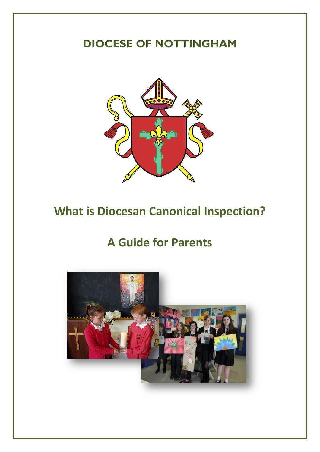## **DIOCESE OF NOTTINGHAM**



# **What is Diocesan Canonical Inspection?**

## **A Guide for Parents**

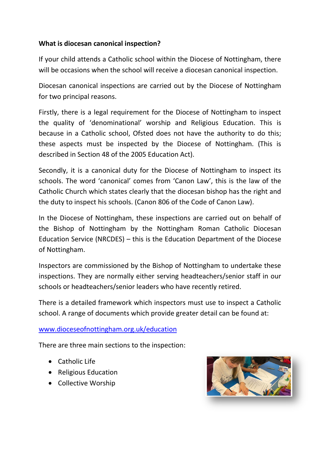## **What is diocesan canonical inspection?**

If your child attends a Catholic school within the Diocese of Nottingham, there will be occasions when the school will receive a diocesan canonical inspection.

Diocesan canonical inspections are carried out by the Diocese of Nottingham for two principal reasons.

Firstly, there is a legal requirement for the Diocese of Nottingham to inspect the quality of 'denominational' worship and Religious Education. This is because in a Catholic school, Ofsted does not have the authority to do this; these aspects must be inspected by the Diocese of Nottingham. (This is described in Section 48 of the 2005 Education Act).

Secondly, it is a canonical duty for the Diocese of Nottingham to inspect its schools. The word 'canonical' comes from 'Canon Law', this is the law of the Catholic Church which states clearly that the diocesan bishop has the right and the duty to inspect his schools. (Canon 806 of the Code of Canon Law).

In the Diocese of Nottingham, these inspections are carried out on behalf of the Bishop of Nottingham by the Nottingham Roman Catholic Diocesan Education Service (NRCDES) – this is the Education Department of the Diocese of Nottingham.

Inspectors are commissioned by the Bishop of Nottingham to undertake these inspections. They are normally either serving headteachers/senior staff in our schools or headteachers/senior leaders who have recently retired.

There is a detailed framework which inspectors must use to inspect a Catholic school. A range of documents which provide greater detail can be found at:

#### [www.dioceseofnottingham.org.uk/education](http://www.dioceseofnottingham.org.uk/education)

There are three main sections to the inspection:

- Catholic Life
- Religious Education
- Collective Worship

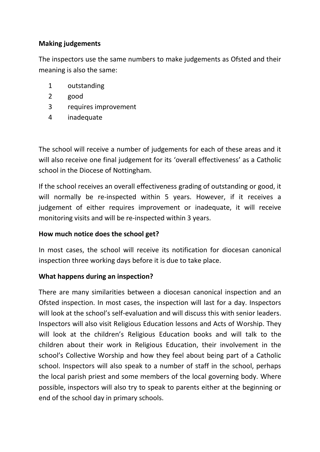## **Making judgements**

The inspectors use the same numbers to make judgements as Ofsted and their meaning is also the same:

- 1 outstanding
- 2 good
- 3 requires improvement
- 4 inadequate

The school will receive a number of judgements for each of these areas and it will also receive one final judgement for its 'overall effectiveness' as a Catholic school in the Diocese of Nottingham.

If the school receives an overall effectiveness grading of outstanding or good, it will normally be re-inspected within 5 years. However, if it receives a judgement of either requires improvement or inadequate, it will receive monitoring visits and will be re-inspected within 3 years.

### **How much notice does the school get?**

In most cases, the school will receive its notification for diocesan canonical inspection three working days before it is due to take place.

### **What happens during an inspection?**

There are many similarities between a diocesan canonical inspection and an Ofsted inspection. In most cases, the inspection will last for a day. Inspectors will look at the school's self-evaluation and will discuss this with senior leaders. Inspectors will also visit Religious Education lessons and Acts of Worship. They will look at the children's Religious Education books and will talk to the children about their work in Religious Education, their involvement in the school's Collective Worship and how they feel about being part of a Catholic school. Inspectors will also speak to a number of staff in the school, perhaps the local parish priest and some members of the local governing body. Where possible, inspectors will also try to speak to parents either at the beginning or end of the school day in primary schools.